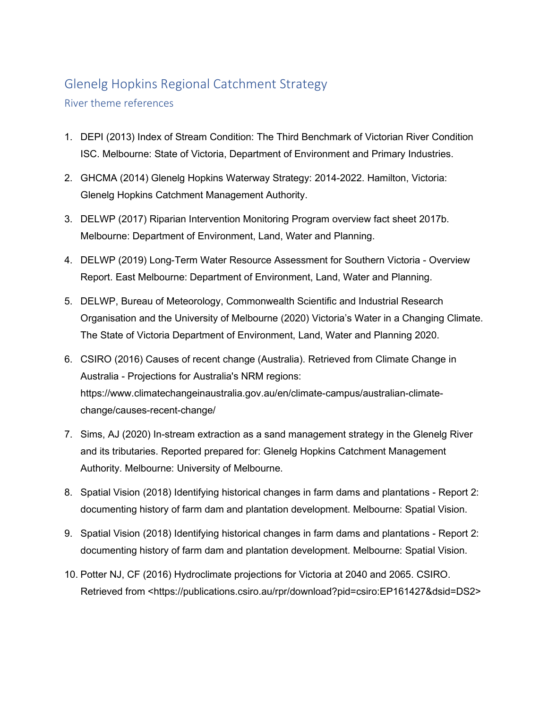## Glenelg Hopkins Regional Catchment Strategy

River theme references

- 1. DEPI (2013) Index of Stream Condition: The Third Benchmark of Victorian River Condition ISC. Melbourne: State of Victoria, Department of Environment and Primary Industries.
- 2. GHCMA (2014) Glenelg Hopkins Waterway Strategy: 2014-2022. Hamilton, Victoria: Glenelg Hopkins Catchment Management Authority.
- 3. DELWP (2017) Riparian Intervention Monitoring Program overview fact sheet 2017b. Melbourne: Department of Environment, Land, Water and Planning.
- 4. DELWP (2019) Long-Term Water Resource Assessment for Southern Victoria Overview Report. East Melbourne: Department of Environment, Land, Water and Planning.
- 5. DELWP, Bureau of Meteorology, Commonwealth Scientific and Industrial Research Organisation and the University of Melbourne (2020) Victoria's Water in a Changing Climate. The State of Victoria Department of Environment, Land, Water and Planning 2020.
- 6. CSIRO (2016) Causes of recent change (Australia). Retrieved from Climate Change in Australia - Projections for Australia's NRM regions: [https://www.climatechangeinaustralia.gov.au/en/climate-campus/australian-climate](https://www.climatechangeinaustralia.gov.au/en/climate-campus/australian-climate-change/causes-recent-change/)[change/causes-recent-change/](https://www.climatechangeinaustralia.gov.au/en/climate-campus/australian-climate-change/causes-recent-change/)
- 7. Sims, AJ (2020) In-stream extraction as a sand management strategy in the Glenelg River and its tributaries. Reported prepared for: Glenelg Hopkins Catchment Management Authority. Melbourne: University of Melbourne.
- 8. Spatial Vision (2018) Identifying historical changes in farm dams and plantations Report 2: documenting history of farm dam and plantation development. Melbourne: Spatial Vision.
- 9. Spatial Vision (2018) Identifying historical changes in farm dams and plantations Report 2: documenting history of farm dam and plantation development. Melbourne: Spatial Vision.
- 10. Potter NJ, CF (2016) Hydroclimate projections for Victoria at 2040 and 2065. CSIRO. Retrieved from <https://publications.csiro.au/rpr/download?pid=csiro:EP161427&dsid=DS2>